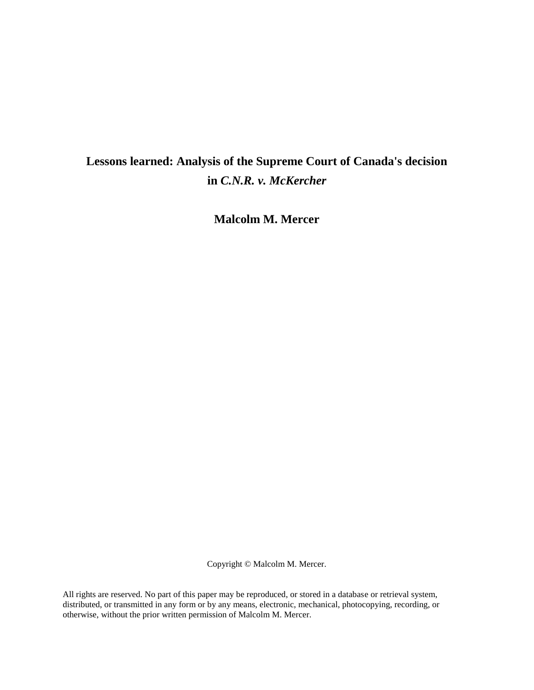# **Lessons learned: Analysis of the Supreme Court of Canada's decision in** *C.N.R. v. McKercher*

**Malcolm M. Mercer**

Copyright © Malcolm M. Mercer.

All rights are reserved. No part of this paper may be reproduced, or stored in a database or retrieval system, distributed, or transmitted in any form or by any means, electronic, mechanical, photocopying, recording, or otherwise, without the prior written permission of Malcolm M. Mercer.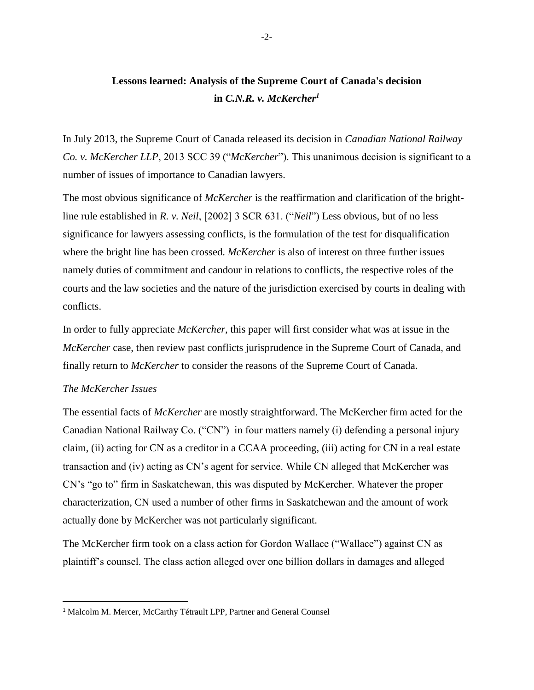# **Lessons learned: Analysis of the Supreme Court of Canada's decision in** *C.N.R. v. McKercher<sup>1</sup>*

In July 2013, the Supreme Court of Canada released its decision in *Canadian National Railway Co. v. McKercher LLP*, 2013 SCC 39 ("*McKercher*"). This unanimous decision is significant to a number of issues of importance to Canadian lawyers.

The most obvious significance of *McKercher* is the reaffirmation and clarification of the brightline rule established in *R. v. Neil*, [2002] 3 SCR 631. ("*Neil*") Less obvious, but of no less significance for lawyers assessing conflicts, is the formulation of the test for disqualification where the bright line has been crossed. *McKercher* is also of interest on three further issues namely duties of commitment and candour in relations to conflicts, the respective roles of the courts and the law societies and the nature of the jurisdiction exercised by courts in dealing with conflicts.

In order to fully appreciate *McKercher*, this paper will first consider what was at issue in the *McKercher* case, then review past conflicts jurisprudence in the Supreme Court of Canada, and finally return to *McKercher* to consider the reasons of the Supreme Court of Canada.

#### *The McKercher Issues*

 $\overline{\phantom{a}}$ 

The essential facts of *McKercher* are mostly straightforward. The McKercher firm acted for the Canadian National Railway Co. ("CN") in four matters namely (i) defending a personal injury claim, (ii) acting for CN as a creditor in a CCAA proceeding, (iii) acting for CN in a real estate transaction and (iv) acting as CN's agent for service. While CN alleged that McKercher was CN's "go to" firm in Saskatchewan, this was disputed by McKercher. Whatever the proper characterization, CN used a number of other firms in Saskatchewan and the amount of work actually done by McKercher was not particularly significant.

The McKercher firm took on a class action for Gordon Wallace ("Wallace") against CN as plaintiff's counsel. The class action alleged over one billion dollars in damages and alleged

<sup>&</sup>lt;sup>1</sup> Malcolm M. Mercer, McCarthy Tétrault LPP, Partner and General Counsel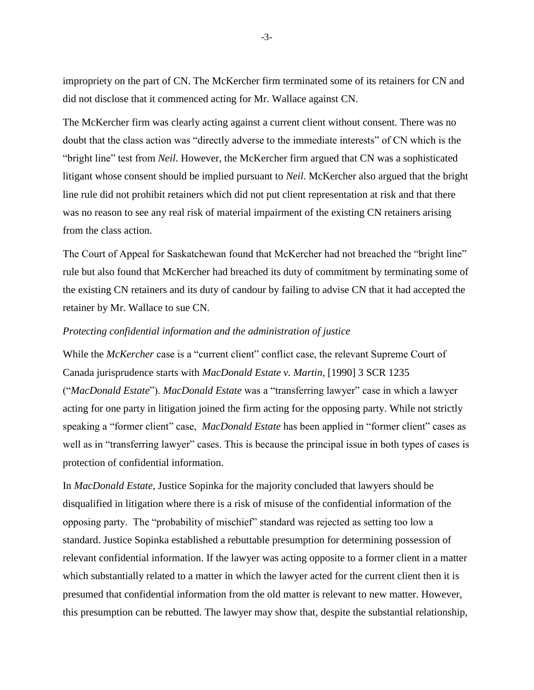impropriety on the part of CN. The McKercher firm terminated some of its retainers for CN and did not disclose that it commenced acting for Mr. Wallace against CN.

The McKercher firm was clearly acting against a current client without consent. There was no doubt that the class action was "directly adverse to the immediate interests" of CN which is the "bright line" test from *Neil*. However, the McKercher firm argued that CN was a sophisticated litigant whose consent should be implied pursuant to *Neil*. McKercher also argued that the bright line rule did not prohibit retainers which did not put client representation at risk and that there was no reason to see any real risk of material impairment of the existing CN retainers arising from the class action.

The Court of Appeal for Saskatchewan found that McKercher had not breached the "bright line" rule but also found that McKercher had breached its duty of commitment by terminating some of the existing CN retainers and its duty of candour by failing to advise CN that it had accepted the retainer by Mr. Wallace to sue CN.

#### *Protecting confidential information and the administration of justice*

While the *McKercher* case is a "current client" conflict case, the relevant Supreme Court of Canada jurisprudence starts with *MacDonald Estate v. Martin*, [1990] 3 SCR 1235 ("*MacDonald Estate*"). *MacDonald Estate* was a "transferring lawyer" case in which a lawyer acting for one party in litigation joined the firm acting for the opposing party. While not strictly speaking a "former client" case, *MacDonald Estate* has been applied in "former client" cases as well as in "transferring lawyer" cases. This is because the principal issue in both types of cases is protection of confidential information.

In *MacDonald Estate*, Justice Sopinka for the majority concluded that lawyers should be disqualified in litigation where there is a risk of misuse of the confidential information of the opposing party. The "probability of mischief" standard was rejected as setting too low a standard. Justice Sopinka established a rebuttable presumption for determining possession of relevant confidential information. If the lawyer was acting opposite to a former client in a matter which substantially related to a matter in which the lawyer acted for the current client then it is presumed that confidential information from the old matter is relevant to new matter. However, this presumption can be rebutted. The lawyer may show that, despite the substantial relationship,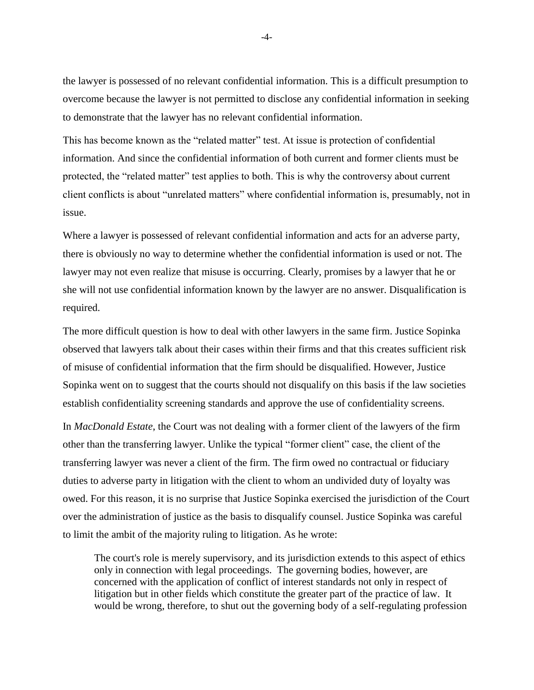the lawyer is possessed of no relevant confidential information. This is a difficult presumption to overcome because the lawyer is not permitted to disclose any confidential information in seeking to demonstrate that the lawyer has no relevant confidential information.

This has become known as the "related matter" test. At issue is protection of confidential information. And since the confidential information of both current and former clients must be protected, the "related matter" test applies to both. This is why the controversy about current client conflicts is about "unrelated matters" where confidential information is, presumably, not in issue.

Where a lawyer is possessed of relevant confidential information and acts for an adverse party, there is obviously no way to determine whether the confidential information is used or not. The lawyer may not even realize that misuse is occurring. Clearly, promises by a lawyer that he or she will not use confidential information known by the lawyer are no answer. Disqualification is required.

The more difficult question is how to deal with other lawyers in the same firm. Justice Sopinka observed that lawyers talk about their cases within their firms and that this creates sufficient risk of misuse of confidential information that the firm should be disqualified. However, Justice Sopinka went on to suggest that the courts should not disqualify on this basis if the law societies establish confidentiality screening standards and approve the use of confidentiality screens.

In *MacDonald Estate*, the Court was not dealing with a former client of the lawyers of the firm other than the transferring lawyer. Unlike the typical "former client" case, the client of the transferring lawyer was never a client of the firm. The firm owed no contractual or fiduciary duties to adverse party in litigation with the client to whom an undivided duty of loyalty was owed. For this reason, it is no surprise that Justice Sopinka exercised the jurisdiction of the Court over the administration of justice as the basis to disqualify counsel. Justice Sopinka was careful to limit the ambit of the majority ruling to litigation. As he wrote:

The court's role is merely supervisory, and its jurisdiction extends to this aspect of ethics only in connection with legal proceedings. The governing bodies, however, are concerned with the application of conflict of interest standards not only in respect of litigation but in other fields which constitute the greater part of the practice of law. It would be wrong, therefore, to shut out the governing body of a self-regulating profession

-4-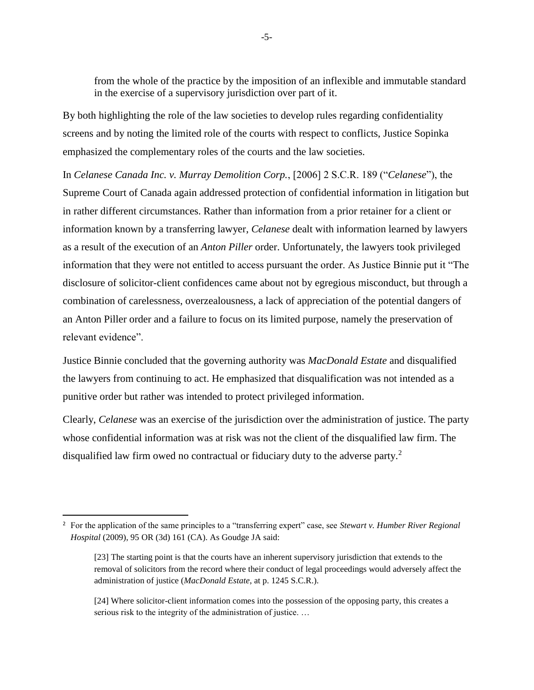from the whole of the practice by the imposition of an inflexible and immutable standard in the exercise of a supervisory jurisdiction over part of it.

By both highlighting the role of the law societies to develop rules regarding confidentiality screens and by noting the limited role of the courts with respect to conflicts, Justice Sopinka emphasized the complementary roles of the courts and the law societies.

In *Celanese Canada Inc. v. Murray Demolition Corp.*, [2006] 2 S.C.R. 189 ("*Celanese*"), the Supreme Court of Canada again addressed protection of confidential information in litigation but in rather different circumstances. Rather than information from a prior retainer for a client or information known by a transferring lawyer, *Celanese* dealt with information learned by lawyers as a result of the execution of an *Anton Piller* order. Unfortunately, the lawyers took privileged information that they were not entitled to access pursuant the order. As Justice Binnie put it "The disclosure of solicitor-client confidences came about not by egregious misconduct, but through a combination of carelessness, overzealousness, a lack of appreciation of the potential dangers of an Anton Piller order and a failure to focus on its limited purpose, namely the preservation of relevant evidence".

Justice Binnie concluded that the governing authority was *MacDonald Estate* and disqualified the lawyers from continuing to act. He emphasized that disqualification was not intended as a punitive order but rather was intended to protect privileged information.

Clearly, *Celanese* was an exercise of the jurisdiction over the administration of justice. The party whose confidential information was at risk was not the client of the disqualified law firm. The disqualified law firm owed no contractual or fiduciary duty to the adverse party.<sup>2</sup>

 $\overline{\phantom{a}}$ 

<sup>2</sup> For the application of the same principles to a "transferring expert" case, see *Stewart v. Humber River Regional Hospital* (2009), 95 OR (3d) 161 (CA). As Goudge JA said:

<sup>[23]</sup> The starting point is that the courts have an inherent supervisory jurisdiction that extends to the removal of solicitors from the record where their conduct of legal proceedings would adversely affect the administration of justice (*MacDonald Estate*, at p. 1245 S.C.R.).

<sup>[24]</sup> Where solicitor-client information comes into the possession of the opposing party, this creates a serious risk to the integrity of the administration of justice. …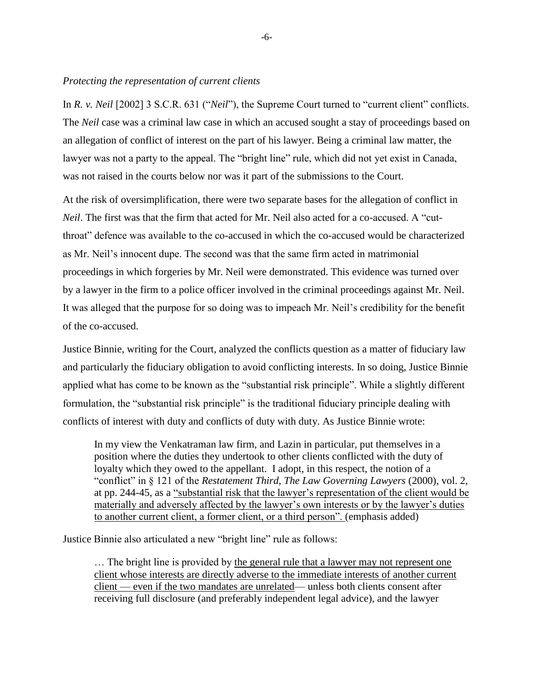### *Protecting the representation of current clients*

In *R. v. Neil* [2002] 3 S.C.R. 631 ("*Neil*"), the Supreme Court turned to "current client" conflicts. The *Neil* case was a criminal law case in which an accused sought a stay of proceedings based on an allegation of conflict of interest on the part of his lawyer. Being a criminal law matter, the lawyer was not a party to the appeal. The "bright line" rule, which did not yet exist in Canada, was not raised in the courts below nor was it part of the submissions to the Court.

At the risk of oversimplification, there were two separate bases for the allegation of conflict in *Neil*. The first was that the firm that acted for Mr. Neil also acted for a co-accused. A "cutthroat" defence was available to the co-accused in which the co-accused would be characterized as Mr. Neil's innocent dupe. The second was that the same firm acted in matrimonial proceedings in which forgeries by Mr. Neil were demonstrated. This evidence was turned over by a lawyer in the firm to a police officer involved in the criminal proceedings against Mr. Neil. It was alleged that the purpose for so doing was to impeach Mr. Neil's credibility for the benefit of the co-accused.

Justice Binnie, writing for the Court, analyzed the conflicts question as a matter of fiduciary law and particularly the fiduciary obligation to avoid conflicting interests. In so doing, Justice Binnie applied what has come to be known as the "substantial risk principle". While a slightly different formulation, the "substantial risk principle" is the traditional fiduciary principle dealing with conflicts of interest with duty and conflicts of duty with duty. As Justice Binnie wrote:

In my view the Venkatraman law firm, and Lazin in particular, put themselves in a position where the duties they undertook to other clients conflicted with the duty of loyalty which they owed to the appellant. I adopt, in this respect, the notion of a "conflict" in § 121 of the *Restatement Third, The Law Governing Lawyers* (2000), vol. 2, at pp. 244-45, as a "substantial risk that the lawyer's representation of the client would be materially and adversely affected by the lawyer's own interests or by the lawyer's duties to another current client, a former client, or a third person". (emphasis added)

Justice Binnie also articulated a new "bright line" rule as follows:

… The bright line is provided by the general rule that a lawyer may not represent one client whose interests are directly adverse to the immediate interests of another current client — even if the two mandates are unrelated— unless both clients consent after receiving full disclosure (and preferably independent legal advice), and the lawyer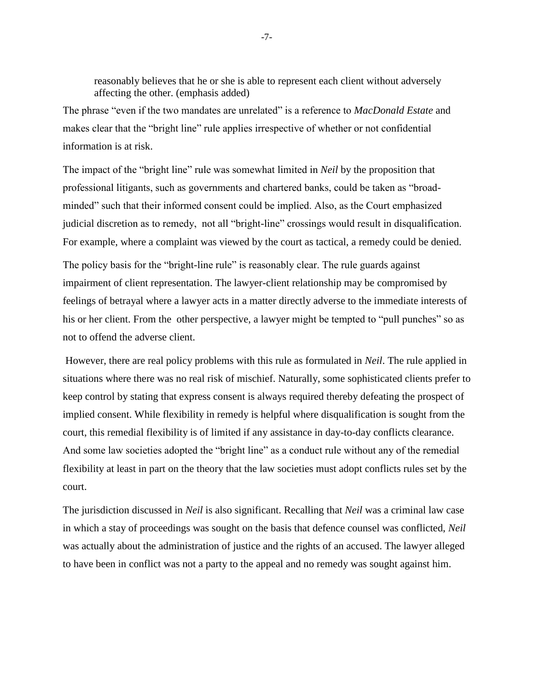reasonably believes that he or she is able to represent each client without adversely affecting the other. (emphasis added)

The phrase "even if the two mandates are unrelated" is a reference to *MacDonald Estate* and makes clear that the "bright line" rule applies irrespective of whether or not confidential information is at risk.

The impact of the "bright line" rule was somewhat limited in *Neil* by the proposition that professional litigants, such as governments and chartered banks, could be taken as "broadminded" such that their informed consent could be implied. Also, as the Court emphasized judicial discretion as to remedy, not all "bright-line" crossings would result in disqualification. For example, where a complaint was viewed by the court as tactical, a remedy could be denied.

The policy basis for the "bright-line rule" is reasonably clear. The rule guards against impairment of client representation. The lawyer-client relationship may be compromised by feelings of betrayal where a lawyer acts in a matter directly adverse to the immediate interests of his or her client. From the other perspective, a lawyer might be tempted to "pull punches" so as not to offend the adverse client.

However, there are real policy problems with this rule as formulated in *Neil*. The rule applied in situations where there was no real risk of mischief. Naturally, some sophisticated clients prefer to keep control by stating that express consent is always required thereby defeating the prospect of implied consent. While flexibility in remedy is helpful where disqualification is sought from the court, this remedial flexibility is of limited if any assistance in day-to-day conflicts clearance. And some law societies adopted the "bright line" as a conduct rule without any of the remedial flexibility at least in part on the theory that the law societies must adopt conflicts rules set by the court.

The jurisdiction discussed in *Neil* is also significant. Recalling that *Neil* was a criminal law case in which a stay of proceedings was sought on the basis that defence counsel was conflicted, *Neil* was actually about the administration of justice and the rights of an accused. The lawyer alleged to have been in conflict was not a party to the appeal and no remedy was sought against him.

-7-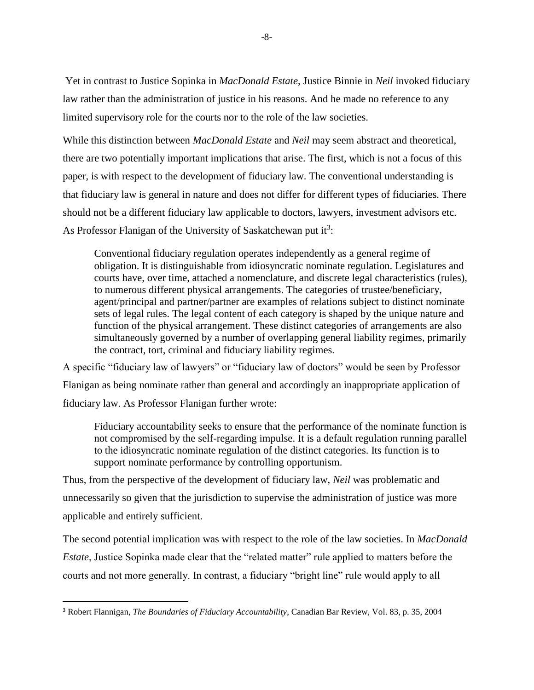Yet in contrast to Justice Sopinka in *MacDonald Estate*, Justice Binnie in *Neil* invoked fiduciary law rather than the administration of justice in his reasons. And he made no reference to any limited supervisory role for the courts nor to the role of the law societies.

While this distinction between *MacDonald Estate* and *Neil* may seem abstract and theoretical, there are two potentially important implications that arise. The first, which is not a focus of this paper, is with respect to the development of fiduciary law. The conventional understanding is that fiduciary law is general in nature and does not differ for different types of fiduciaries. There should not be a different fiduciary law applicable to doctors, lawyers, investment advisors etc. As Professor Flanigan of the University of Saskatchewan put it<sup>3</sup>:

Conventional fiduciary regulation operates independently as a general regime of obligation. It is distinguishable from idiosyncratic nominate regulation. Legislatures and courts have, over time, attached a nomenclature, and discrete legal characteristics (rules), to numerous different physical arrangements. The categories of trustee/beneficiary, agent/principal and partner/partner are examples of relations subject to distinct nominate sets of legal rules. The legal content of each category is shaped by the unique nature and function of the physical arrangement. These distinct categories of arrangements are also simultaneously governed by a number of overlapping general liability regimes, primarily the contract, tort, criminal and fiduciary liability regimes.

A specific "fiduciary law of lawyers" or "fiduciary law of doctors" would be seen by Professor Flanigan as being nominate rather than general and accordingly an inappropriate application of fiduciary law. As Professor Flanigan further wrote:

Fiduciary accountability seeks to ensure that the performance of the nominate function is not compromised by the self-regarding impulse. It is a default regulation running parallel to the idiosyncratic nominate regulation of the distinct categories. Its function is to support nominate performance by controlling opportunism.

Thus, from the perspective of the development of fiduciary law, *Neil* was problematic and unnecessarily so given that the jurisdiction to supervise the administration of justice was more applicable and entirely sufficient.

The second potential implication was with respect to the role of the law societies. In *MacDonald Estate*, Justice Sopinka made clear that the "related matter" rule applied to matters before the courts and not more generally. In contrast, a fiduciary "bright line" rule would apply to all

 $\overline{\phantom{a}}$ 

<sup>3</sup> Robert Flannigan, *The Boundaries of Fiduciary Accountability*, Canadian Bar Review, Vol. 83, p. 35, 2004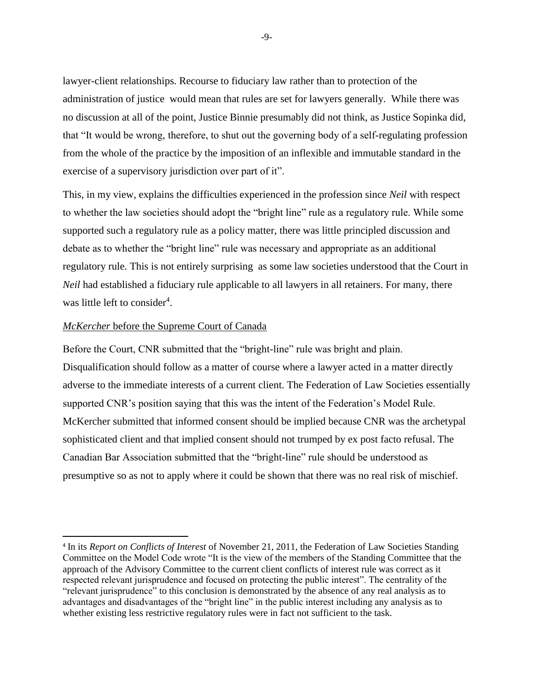lawyer-client relationships. Recourse to fiduciary law rather than to protection of the administration of justice would mean that rules are set for lawyers generally. While there was no discussion at all of the point, Justice Binnie presumably did not think, as Justice Sopinka did, that "It would be wrong, therefore, to shut out the governing body of a self-regulating profession from the whole of the practice by the imposition of an inflexible and immutable standard in the exercise of a supervisory jurisdiction over part of it".

This, in my view, explains the difficulties experienced in the profession since *Neil* with respect to whether the law societies should adopt the "bright line" rule as a regulatory rule. While some supported such a regulatory rule as a policy matter, there was little principled discussion and debate as to whether the "bright line" rule was necessary and appropriate as an additional regulatory rule. This is not entirely surprising as some law societies understood that the Court in *Neil* had established a fiduciary rule applicable to all lawyers in all retainers. For many, there was little left to consider<sup>4</sup>.

#### *McKercher* before the Supreme Court of Canada

 $\overline{\phantom{a}}$ 

Before the Court, CNR submitted that the "bright-line" rule was bright and plain. Disqualification should follow as a matter of course where a lawyer acted in a matter directly adverse to the immediate interests of a current client. The Federation of Law Societies essentially supported CNR's position saying that this was the intent of the Federation's Model Rule. McKercher submitted that informed consent should be implied because CNR was the archetypal sophisticated client and that implied consent should not trumped by ex post facto refusal. The Canadian Bar Association submitted that the "bright-line" rule should be understood as presumptive so as not to apply where it could be shown that there was no real risk of mischief.

<sup>4</sup> In its *Report on Conflicts of Interest* of November 21, 2011, the Federation of Law Societies Standing Committee on the Model Code wrote "It is the view of the members of the Standing Committee that the approach of the Advisory Committee to the current client conflicts of interest rule was correct as it respected relevant jurisprudence and focused on protecting the public interest". The centrality of the "relevant jurisprudence" to this conclusion is demonstrated by the absence of any real analysis as to advantages and disadvantages of the "bright line" in the public interest including any analysis as to whether existing less restrictive regulatory rules were in fact not sufficient to the task.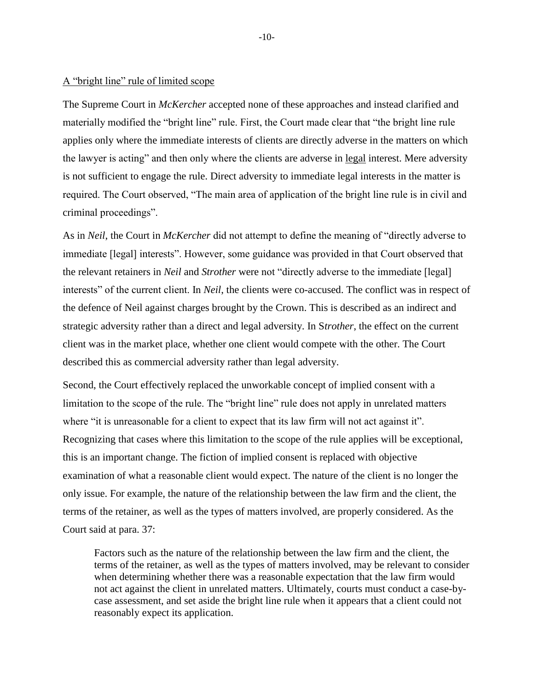#### A "bright line" rule of limited scope

The Supreme Court in *McKercher* accepted none of these approaches and instead clarified and materially modified the "bright line" rule. First, the Court made clear that "the bright line rule applies only where the immediate interests of clients are directly adverse in the matters on which the lawyer is acting" and then only where the clients are adverse in legal interest. Mere adversity is not sufficient to engage the rule. Direct adversity to immediate legal interests in the matter is required. The Court observed, "The main area of application of the bright line rule is in civil and criminal proceedings".

As in *Neil*, the Court in *McKercher* did not attempt to define the meaning of "directly adverse to immediate [legal] interests". However, some guidance was provided in that Court observed that the relevant retainers in *Neil* and *Strother* were not "directly adverse to the immediate [legal] interests" of the current client. In *Neil*, the clients were co-accused. The conflict was in respect of the defence of Neil against charges brought by the Crown. This is described as an indirect and strategic adversity rather than a direct and legal adversity. In S*trother*, the effect on the current client was in the market place, whether one client would compete with the other. The Court described this as commercial adversity rather than legal adversity.

Second, the Court effectively replaced the unworkable concept of implied consent with a limitation to the scope of the rule. The "bright line" rule does not apply in unrelated matters where "it is unreasonable for a client to expect that its law firm will not act against it". Recognizing that cases where this limitation to the scope of the rule applies will be exceptional, this is an important change. The fiction of implied consent is replaced with objective examination of what a reasonable client would expect. The nature of the client is no longer the only issue. For example, the nature of the relationship between the law firm and the client, the terms of the retainer, as well as the types of matters involved, are properly considered. As the Court said at para. 37:

Factors such as the nature of the relationship between the law firm and the client, the terms of the retainer, as well as the types of matters involved, may be relevant to consider when determining whether there was a reasonable expectation that the law firm would not act against the client in unrelated matters. Ultimately, courts must conduct a case-bycase assessment, and set aside the bright line rule when it appears that a client could not reasonably expect its application.

-10-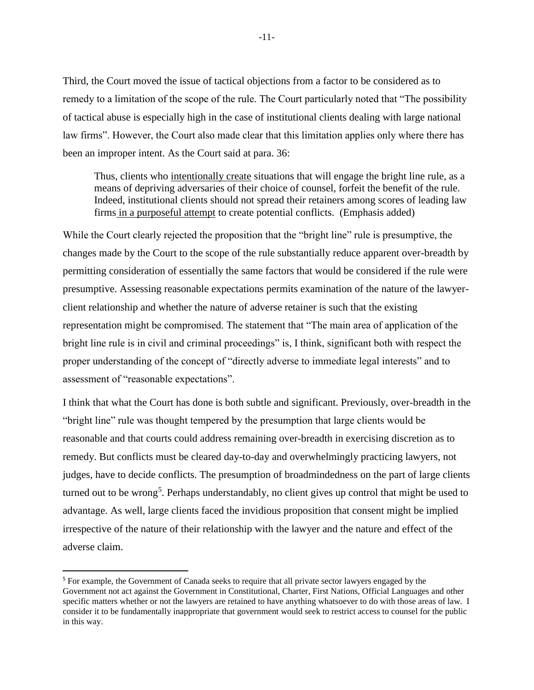Third, the Court moved the issue of tactical objections from a factor to be considered as to remedy to a limitation of the scope of the rule. The Court particularly noted that "The possibility of tactical abuse is especially high in the case of institutional clients dealing with large national law firms". However, the Court also made clear that this limitation applies only where there has been an improper intent. As the Court said at para. 36:

Thus, clients who intentionally create situations that will engage the bright line rule, as a means of depriving adversaries of their choice of counsel, forfeit the benefit of the rule. Indeed, institutional clients should not spread their retainers among scores of leading law firms in a purposeful attempt to create potential conflicts. (Emphasis added)

While the Court clearly rejected the proposition that the "bright line" rule is presumptive, the changes made by the Court to the scope of the rule substantially reduce apparent over-breadth by permitting consideration of essentially the same factors that would be considered if the rule were presumptive. Assessing reasonable expectations permits examination of the nature of the lawyerclient relationship and whether the nature of adverse retainer is such that the existing representation might be compromised. The statement that "The main area of application of the bright line rule is in civil and criminal proceedings" is, I think, significant both with respect the proper understanding of the concept of "directly adverse to immediate legal interests" and to assessment of "reasonable expectations".

I think that what the Court has done is both subtle and significant. Previously, over-breadth in the "bright line" rule was thought tempered by the presumption that large clients would be reasonable and that courts could address remaining over-breadth in exercising discretion as to remedy. But conflicts must be cleared day-to-day and overwhelmingly practicing lawyers, not judges, have to decide conflicts. The presumption of broadmindedness on the part of large clients turned out to be wrong<sup>5</sup>. Perhaps understandably, no client gives up control that might be used to advantage. As well, large clients faced the invidious proposition that consent might be implied irrespective of the nature of their relationship with the lawyer and the nature and effect of the adverse claim.

 $\overline{a}$ 

<sup>5</sup> For example, the Government of Canada seeks to require that all private sector lawyers engaged by the Government not act against the Government in Constitutional, Charter, First Nations, Official Languages and other specific matters whether or not the lawyers are retained to have anything whatsoever to do with those areas of law. I consider it to be fundamentally inappropriate that government would seek to restrict access to counsel for the public in this way.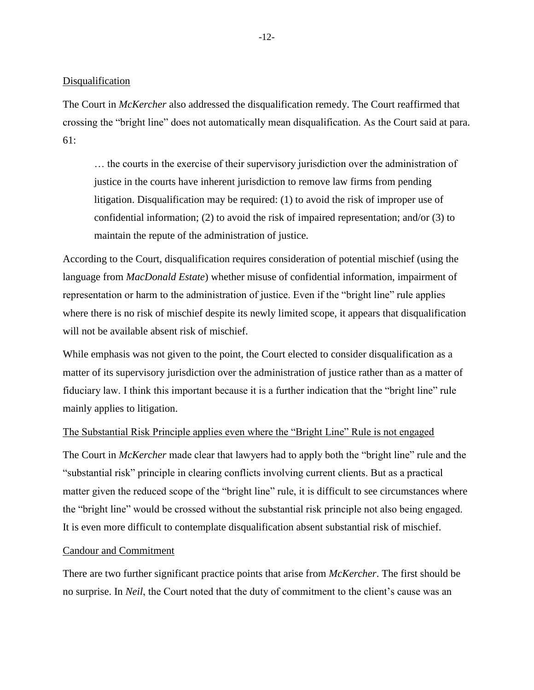#### Disqualification

The Court in *McKercher* also addressed the disqualification remedy. The Court reaffirmed that crossing the "bright line" does not automatically mean disqualification. As the Court said at para. 61:

… the courts in the exercise of their supervisory jurisdiction over the administration of justice in the courts have inherent jurisdiction to remove law firms from pending litigation. Disqualification may be required: (1) to avoid the risk of improper use of confidential information; (2) to avoid the risk of impaired representation; and/or (3) to maintain the repute of the administration of justice.

According to the Court, disqualification requires consideration of potential mischief (using the language from *MacDonald Estate*) whether misuse of confidential information, impairment of representation or harm to the administration of justice. Even if the "bright line" rule applies where there is no risk of mischief despite its newly limited scope, it appears that disqualification will not be available absent risk of mischief.

While emphasis was not given to the point, the Court elected to consider disqualification as a matter of its supervisory jurisdiction over the administration of justice rather than as a matter of fiduciary law. I think this important because it is a further indication that the "bright line" rule mainly applies to litigation.

# The Substantial Risk Principle applies even where the "Bright Line" Rule is not engaged

The Court in *McKercher* made clear that lawyers had to apply both the "bright line" rule and the "substantial risk" principle in clearing conflicts involving current clients. But as a practical matter given the reduced scope of the "bright line" rule, it is difficult to see circumstances where the "bright line" would be crossed without the substantial risk principle not also being engaged. It is even more difficult to contemplate disqualification absent substantial risk of mischief.

#### Candour and Commitment

There are two further significant practice points that arise from *McKercher*. The first should be no surprise. In *Neil*, the Court noted that the duty of commitment to the client's cause was an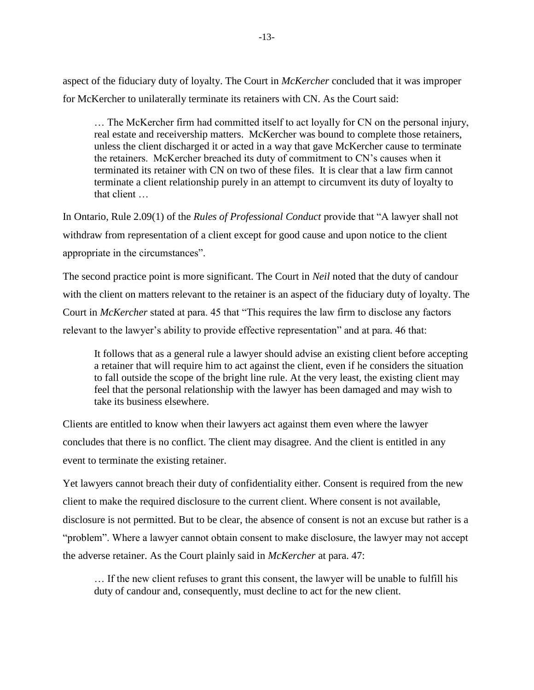aspect of the fiduciary duty of loyalty. The Court in *McKercher* concluded that it was improper for McKercher to unilaterally terminate its retainers with CN. As the Court said:

… The McKercher firm had committed itself to act loyally for CN on the personal injury, real estate and receivership matters. McKercher was bound to complete those retainers, unless the client discharged it or acted in a way that gave McKercher cause to terminate the retainers. McKercher breached its duty of commitment to CN's causes when it terminated its retainer with CN on two of these files. It is clear that a law firm cannot terminate a client relationship purely in an attempt to circumvent its duty of loyalty to that client …

In Ontario, Rule 2.09(1) of the *Rules of Professional Conduct* provide that "A lawyer shall not withdraw from representation of a client except for good cause and upon notice to the client appropriate in the circumstances".

The second practice point is more significant. The Court in *Neil* noted that the duty of candour with the client on matters relevant to the retainer is an aspect of the fiduciary duty of loyalty. The Court in *McKercher* stated at para. 45 that "This requires the law firm to disclose any factors relevant to the lawyer's ability to provide effective representation" and at para. 46 that:

It follows that as a general rule a lawyer should advise an existing client before accepting a retainer that will require him to act against the client, even if he considers the situation to fall outside the scope of the bright line rule. At the very least, the existing client may feel that the personal relationship with the lawyer has been damaged and may wish to take its business elsewhere.

Clients are entitled to know when their lawyers act against them even where the lawyer concludes that there is no conflict. The client may disagree. And the client is entitled in any event to terminate the existing retainer.

Yet lawyers cannot breach their duty of confidentiality either. Consent is required from the new client to make the required disclosure to the current client. Where consent is not available, disclosure is not permitted. But to be clear, the absence of consent is not an excuse but rather is a "problem". Where a lawyer cannot obtain consent to make disclosure, the lawyer may not accept the adverse retainer. As the Court plainly said in *McKercher* at para. 47:

… If the new client refuses to grant this consent, the lawyer will be unable to fulfill his duty of candour and, consequently, must decline to act for the new client.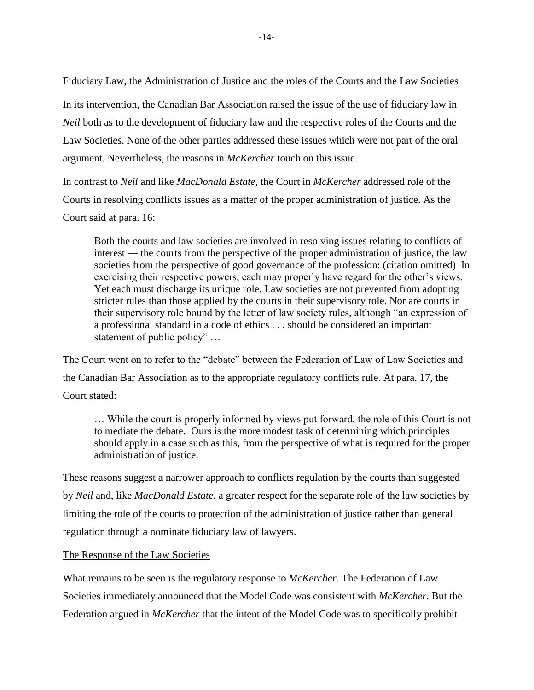Fiduciary Law, the Administration of Justice and the roles of the Courts and the Law Societies

In its intervention, the Canadian Bar Association raised the issue of the use of fiduciary law in *Neil* both as to the development of fiduciary law and the respective roles of the Courts and the Law Societies. None of the other parties addressed these issues which were not part of the oral argument. Nevertheless, the reasons in *McKercher* touch on this issue.

In contrast to *Neil* and like *MacDonald Estate*, the Court in *McKercher* addressed role of the Courts in resolving conflicts issues as a matter of the proper administration of justice. As the Court said at para. 16:

Both the courts and law societies are involved in resolving issues relating to conflicts of interest — the courts from the perspective of the proper administration of justice, the law societies from the perspective of good governance of the profession: (citation omitted) In exercising their respective powers, each may properly have regard for the other's views. Yet each must discharge its unique role. Law societies are not prevented from adopting stricter rules than those applied by the courts in their supervisory role. Nor are courts in their supervisory role bound by the letter of law society rules, although "an expression of a professional standard in a code of ethics . . . should be considered an important statement of public policy" …

The Court went on to refer to the "debate" between the Federation of Law of Law Societies and the Canadian Bar Association as to the appropriate regulatory conflicts rule. At para. 17, the Court stated:

… While the court is properly informed by views put forward, the role of this Court is not to mediate the debate. Ours is the more modest task of determining which principles should apply in a case such as this, from the perspective of what is required for the proper administration of justice.

These reasons suggest a narrower approach to conflicts regulation by the courts than suggested by *Neil* and, like *MacDonald Estate*, a greater respect for the separate role of the law societies by limiting the role of the courts to protection of the administration of justice rather than general regulation through a nominate fiduciary law of lawyers.

# The Response of the Law Societies

What remains to be seen is the regulatory response to *McKercher*. The Federation of Law Societies immediately announced that the Model Code was consistent with *McKercher*. But the Federation argued in *McKercher* that the intent of the Model Code was to specifically prohibit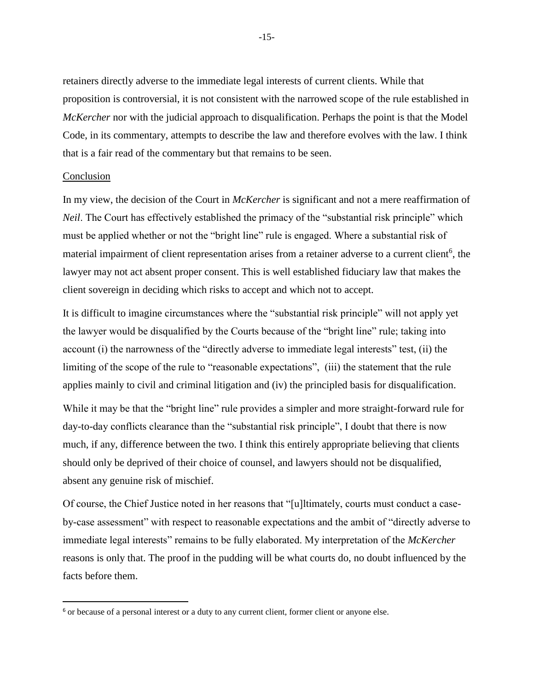retainers directly adverse to the immediate legal interests of current clients. While that proposition is controversial, it is not consistent with the narrowed scope of the rule established in *McKercher* nor with the judicial approach to disqualification. Perhaps the point is that the Model Code, in its commentary, attempts to describe the law and therefore evolves with the law. I think that is a fair read of the commentary but that remains to be seen.

#### Conclusion

 $\overline{\phantom{a}}$ 

In my view, the decision of the Court in *McKercher* is significant and not a mere reaffirmation of *Neil*. The Court has effectively established the primacy of the "substantial risk principle" which must be applied whether or not the "bright line" rule is engaged. Where a substantial risk of material impairment of client representation arises from a retainer adverse to a current client<sup>6</sup>, the lawyer may not act absent proper consent. This is well established fiduciary law that makes the client sovereign in deciding which risks to accept and which not to accept.

It is difficult to imagine circumstances where the "substantial risk principle" will not apply yet the lawyer would be disqualified by the Courts because of the "bright line" rule; taking into account (i) the narrowness of the "directly adverse to immediate legal interests" test, (ii) the limiting of the scope of the rule to "reasonable expectations", (iii) the statement that the rule applies mainly to civil and criminal litigation and (iv) the principled basis for disqualification.

While it may be that the "bright line" rule provides a simpler and more straight-forward rule for day-to-day conflicts clearance than the "substantial risk principle", I doubt that there is now much, if any, difference between the two. I think this entirely appropriate believing that clients should only be deprived of their choice of counsel, and lawyers should not be disqualified, absent any genuine risk of mischief.

Of course, the Chief Justice noted in her reasons that "[u]ltimately, courts must conduct a caseby-case assessment" with respect to reasonable expectations and the ambit of "directly adverse to immediate legal interests" remains to be fully elaborated. My interpretation of the *McKercher* reasons is only that. The proof in the pudding will be what courts do, no doubt influenced by the facts before them.

<sup>6</sup> or because of a personal interest or a duty to any current client, former client or anyone else.